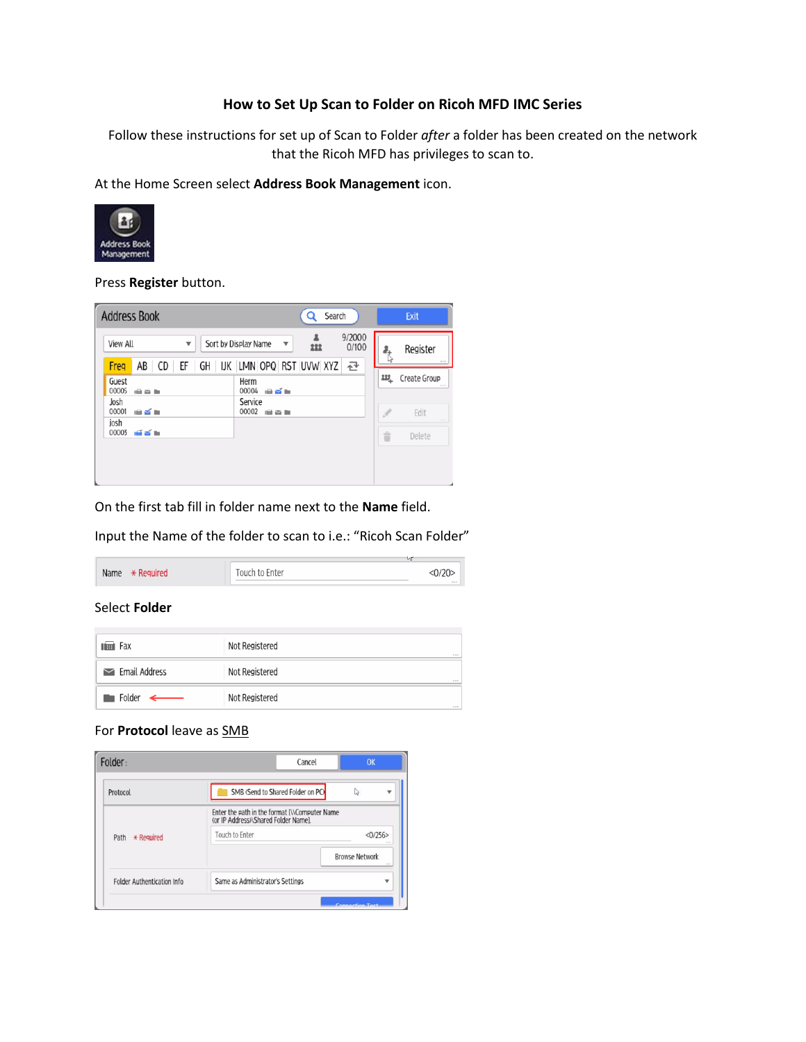## **How to Set Up Scan to Folder on Ricoh MFD IMC Series**

Follow these instructions for set up of Scan to Folder *after* a folder has been created on the network that the Ricoh MFD has privileges to scan to.

At the Home Screen select **Address Book Management** icon.



Press **Register** button.

| <b>Address Book</b>                  |                         | Search<br>Q                                                                                                                             |          | Exit                                                                                                             |
|--------------------------------------|-------------------------|-----------------------------------------------------------------------------------------------------------------------------------------|----------|------------------------------------------------------------------------------------------------------------------|
| <b>View All</b><br>Freq              | $\overline{\mathbf{v}}$ | 9/2000<br>Sort by Display Name<br>$\overline{\mathbf{v}}$<br>222<br>0/100<br>AB   CD   EF   GH   IJK   LMN   OPQ   RST   UVW   XYZ<br>昼 | ł.<br>Ιŵ | Register<br>$\alpha$ $\alpha$ $\alpha$                                                                           |
| Guest<br>00005<br>自至自<br>Josh        |                         | Herm<br>00004<br>■ざ■<br>Service                                                                                                         | 227.     | Create Group<br>$+ + +$                                                                                          |
| 00001<br>电影曲<br>josh<br>00003<br>道学师 |                         | 00002<br>自至自                                                                                                                            | 音        | Edit<br>$\frac{1}{2} \left( \frac{1}{2} \right) \left( \frac{1}{2} \right) \left( \frac{1}{2} \right)$<br>Delete |

On the first tab fill in folder name next to the **Name** field.

Input the Name of the folder to scan to i.e.: "Ricoh Scan Folder"

|                          |                | $\sim$  |
|--------------------------|----------------|---------|
| Name<br>$\star$ Required | Touch to Enter | <0/20   |
|                          |                | $-2.01$ |

#### Select **Folder**

| $\mathbb{H}$ Fax                   | Not Registered<br>$-0.01$  |
|------------------------------------|----------------------------|
| $\sim$ Email Address               | Not Registered<br>$- - -$  |
| $\blacksquare$ Folder $\leftarrow$ | Not Registered<br>$-2.5.2$ |

### For **Protocol** leave as SMB

| Cancel                               | OK                                          |
|--------------------------------------|---------------------------------------------|
| SMB (Send to Shared Folder on PC)    | Ľ,                                          |
| (or IP Address)\Shared Folder Namel. |                                             |
| <b>Touch to Enter</b>                | <0/256<br>$\cdots$                          |
|                                      | <b>Browse Network</b><br>$\sim$             |
| Same as Administrator's Settings     |                                             |
|                                      | Enter the path in the format NComputer Name |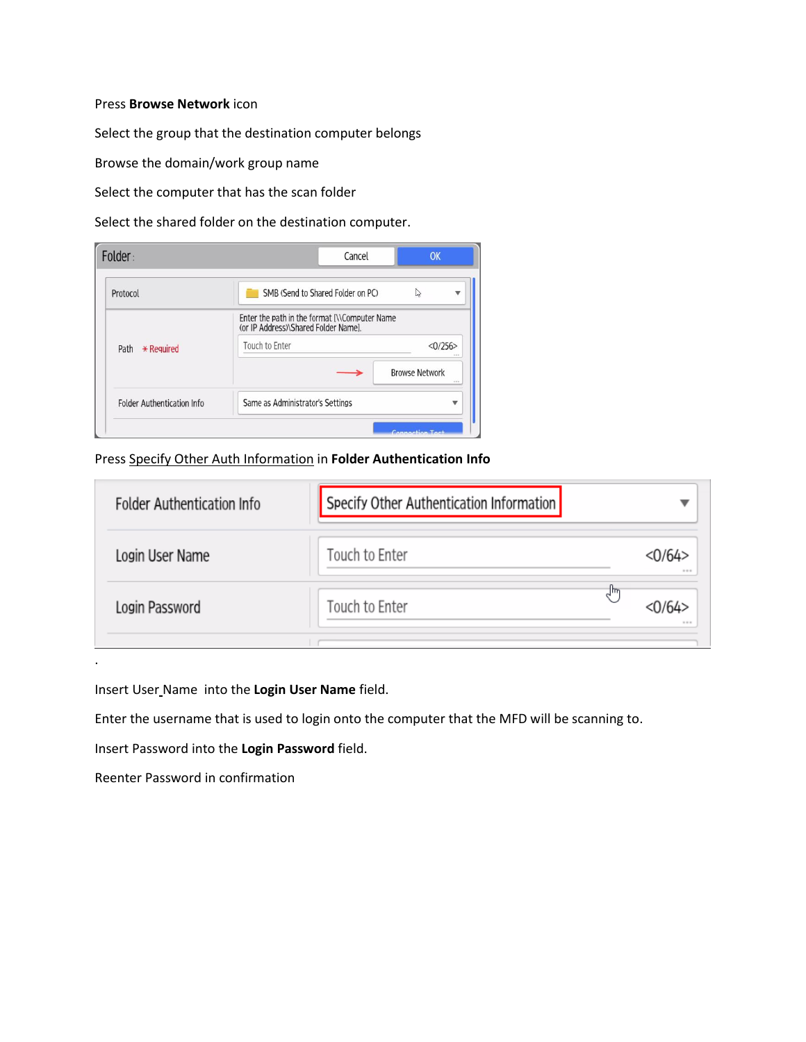#### Press **Browse Network** icon

Select the group that the destination computer belongs

Browse the domain/work group name

Select the computer that has the scan folder

Select the shared folder on the destination computer.

| Folder:                            | Cancel                                                                                | OK                            |
|------------------------------------|---------------------------------------------------------------------------------------|-------------------------------|
| Protocol                           | SMB (Send to Shared Folder on PC)                                                     | Z<br>v                        |
|                                    | Enter the path in the format [\\Computer Name<br>(or IP Address)\Shared Folder Namel. |                               |
| Path<br>$*$ Required               | Touch to Enter                                                                        | <0/256                        |
|                                    |                                                                                       | <b>Browse Network</b><br>1.14 |
| <b>Folder Authentication Info.</b> | Same as Administrator's Settings                                                      |                               |
|                                    |                                                                                       | Connoction Tost               |

# Press Specify Other Auth Information in **Folder Authentication Info**

| <b>Folder Authentication Info</b> | Specify Other Authentication Information |                   |
|-----------------------------------|------------------------------------------|-------------------|
| Login User Name                   | Touch to Enter                           | <0/64><br>$-0.01$ |
| Login Password                    | Touch to Enter                           | °⊪°<br>1.11       |
|                                   |                                          |                   |

Insert User Name into the **Login User Name** field.

Enter the username that is used to login onto the computer that the MFD will be scanning to.

Insert Password into the **Login Password** field.

Reenter Password in confirmation

.